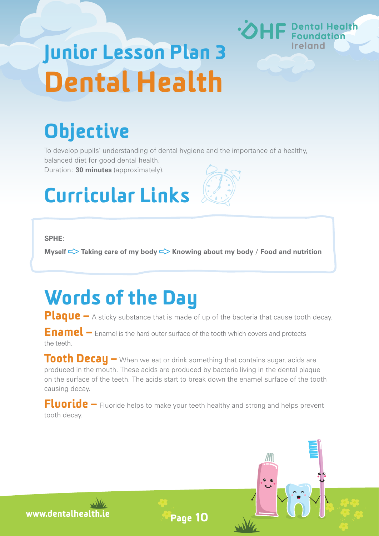# Junior Lesson Plan 3 Dental Health

## **Objective**

To develop pupils' understanding of dental hygiene and the importance of a healthy, balanced diet for good dental health.

Duration: **30 minutes** (approximately).

### Curricular Links

#### **SPHE:**

**Myself <> Taking care of my body <> Knowing about my body / Food and nutrition** 

### Words of the Day

**Plaque** – A sticky substance that is made of up of the bacteria that cause tooth decay.

Enamel – Enamel is the hard outer surface of the tooth which covers and protects the teeth.

Tooth Decay – When we eat or drink something that contains sugar, acids are produced in the mouth. These acids are produced by bacteria living in the dental plaque on the surface of the teeth. The acids start to break down the enamel surface of the tooth causing decay.

Fluoride – Fluoride helps to make your teeth healthy and strong and helps prevent tooth decay.

Page 10

www.dentalhealth.ie



**Dental Health**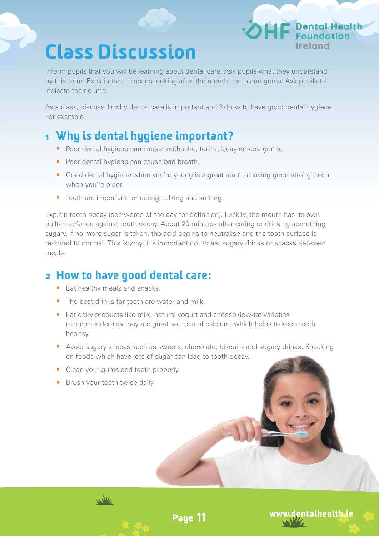### Class Discussion

Inform pupils that you will be learning about dental care. Ask pupils what they understand by this term. Explain that it means looking after the mouth, teeth and gums. Ask pupils to indicate their gums.

As a class, discuss 1) why dental care is important and 2) how to have good dental hygiene. For example:

#### 1 Why is dental hygiene important?

- **•** Poor dental hygiene can cause toothache, tooth decay or sore gums.
- Poor dental hygiene can cause bad breath.
- · Good dental hygiene when you're young is a great start to having good strong teeth when you're older.
- · Teeth are important for eating, talking and smiling.

Explain tooth decay (see words of the day for definition). Luckily, the mouth has its own built-in defence against tooth decay. About 20 minutes after eating or drinking something sugary, if no more sugar is taken, the acid begins to neutralise and the tooth surface is restored to normal. This is why it is important not to eat sugary drinks or snacks between meals.

#### 2 How to have good dental care:

- **•** Eat healthy meals and snacks.
- **•** The best drinks for teeth are water and milk.
- · Eat dairy products like milk, natural yogurt and cheese (low-fat varieties recommended) as they are great sources of calcium, which helps to keep teeth healthy.
- · Avoid sugary snacks such as sweets, chocolate, biscuits and sugary drinks. Snacking on foods which have lots of sugar can lead to tooth decay.

Page 11

- **•** Clean your gums and teeth properly.
- **•** Brush your teeth twice daily.



www.dentalhealth.ie

Dental Health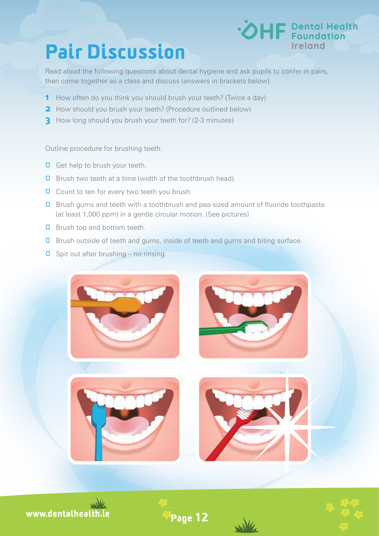### Pair Discussion



Read aloud the following questions about dental hygiene and ask pupils to confer in pairs, then come together as a class and discuss (answers in brackets below).

- **1** How often do you think you should brush your teeth? (Twice a day)
- **2** How should you brush your teeth? (Procedure outlined below)
- **3** How long should you brush your teeth for? (2-3 minutes)

Outline procedure for brushing teeth:

- **Q** Get help to brush your teeth.
- **Q** Brush two teeth at a time (width of the toothbrush head).
- **O** Count to ten for every two teeth you brush.
- **O** Brush gums and teeth with a toothbrush and pea-sized amount of fluoride toothpaste (at least 1,000 ppm) in a gentle circular motion. (See pictures)
- **Q** Brush top and bottom teeth.
- **Q** Brush outside of teeth and gums, inside of teeth and gums and biting surface.
- $\Box$  Spit out after brushing no rinsing.